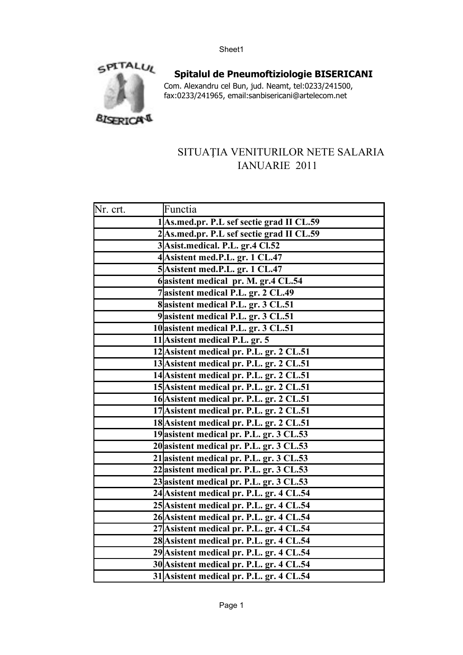

**Spitalul de Pneumoftiziologie BISERICANI** Com. Alexandru cel Bun, jud. Neamt, tel:0233/241500, fax:0233/241965, email:sanbisericani@artelecom.net

## SITUAȚIA VENITURILOR NETE SALARIA IANUARIE 2011

| Nr. crt. | Functia                                   |
|----------|-------------------------------------------|
|          | 1 As.med.pr. P.L sef sectie grad II CL.59 |
|          | 2 As.med.pr. P.L sef sectie grad II CL.59 |
|          | 3 Asist.medical. P.L. gr.4 Cl.52          |
|          | 4 Asistent med.P.L. gr. 1 CL.47           |
|          | 5 Asistent med.P.L. gr. 1 CL.47           |
|          | 6 asistent medical pr. M. gr.4 CL.54      |
|          | 7 asistent medical P.L. gr. 2 CL.49       |
|          | 8 asistent medical P.L. gr. 3 CL.51       |
|          | 9 asistent medical P.L. gr. 3 CL.51       |
|          | 10 asistent medical P.L. gr. 3 CL.51      |
|          | 11 Asistent medical P.L. gr. 5            |
|          | 12 Asistent medical pr. P.L. gr. 2 CL.51  |
|          | 13 Asistent medical pr. P.L. gr. 2 CL.51  |
|          | 14 Asistent medical pr. P.L. gr. 2 CL.51  |
|          | 15 Asistent medical pr. P.L. gr. 2 CL.51  |
|          | 16 Asistent medical pr. P.L. gr. 2 CL.51  |
|          | 17 Asistent medical pr. P.L. gr. 2 CL.51  |
|          | 18 Asistent medical pr. P.L. gr. 2 CL.51  |
|          | 19 asistent medical pr. P.L. gr. 3 CL.53  |
|          | 20 asistent medical pr. P.L. gr. 3 CL.53  |
|          | 21 asistent medical pr. P.L. gr. 3 CL.53  |
|          | 22 asistent medical pr. P.L. gr. 3 CL.53  |
|          | 23 asistent medical pr. P.L. gr. 3 CL.53  |
|          | 24 Asistent medical pr. P.L. gr. 4 CL.54  |
|          | 25 Asistent medical pr. P.L. gr. 4 CL.54  |
|          | 26 Asistent medical pr. P.L. gr. 4 CL.54  |
|          | 27 Asistent medical pr. P.L. gr. 4 CL.54  |
|          | 28 Asistent medical pr. P.L. gr. 4 CL.54  |
|          | 29 Asistent medical pr. P.L. gr. 4 CL.54  |
|          | 30 Asistent medical pr. P.L. gr. 4 CL.54  |
|          | 31 Asistent medical pr. P.L. gr. 4 CL.54  |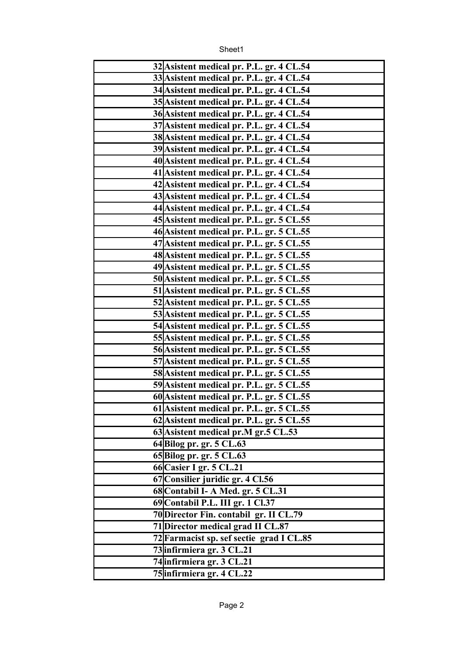Sheet1

| 32 Asistent medical pr. P.L. gr. 4 CL.54 |
|------------------------------------------|
| 33 Asistent medical pr. P.L. gr. 4 CL.54 |
| 34 Asistent medical pr. P.L. gr. 4 CL.54 |
| 35 Asistent medical pr. P.L. gr. 4 CL.54 |
| 36 Asistent medical pr. P.L. gr. 4 CL.54 |
| 37 Asistent medical pr. P.L. gr. 4 CL.54 |
| 38 Asistent medical pr. P.L. gr. 4 CL.54 |
| 39 Asistent medical pr. P.L. gr. 4 CL.54 |
| 40 Asistent medical pr. P.L. gr. 4 CL.54 |
| 41 Asistent medical pr. P.L. gr. 4 CL.54 |
| 42 Asistent medical pr. P.L. gr. 4 CL.54 |
| 43 Asistent medical pr. P.L. gr. 4 CL.54 |
| 44 Asistent medical pr. P.L. gr. 4 CL.54 |
| 45 Asistent medical pr. P.L. gr. 5 CL.55 |
| 46 Asistent medical pr. P.L. gr. 5 CL.55 |
| 47 Asistent medical pr. P.L. gr. 5 CL.55 |
| 48 Asistent medical pr. P.L. gr. 5 CL.55 |
| 49 Asistent medical pr. P.L. gr. 5 CL.55 |
| 50 Asistent medical pr. P.L. gr. 5 CL.55 |
| 51 Asistent medical pr. P.L. gr. 5 CL.55 |
| 52 Asistent medical pr. P.L. gr. 5 CL.55 |
| 53 Asistent medical pr. P.L. gr. 5 CL.55 |
| 54 Asistent medical pr. P.L. gr. 5 CL.55 |
| 55 Asistent medical pr. P.L. gr. 5 CL.55 |
| 56 Asistent medical pr. P.L. gr. 5 CL.55 |
| 57 Asistent medical pr. P.L. gr. 5 CL.55 |
| 58 Asistent medical pr. P.L. gr. 5 CL.55 |
| 59 Asistent medical pr. P.L. gr. 5 CL.55 |
| 60 Asistent medical pr. P.L. gr. 5 CL.55 |
| 61 Asistent medical pr. P.L. gr. 5 CL.55 |
| 62 Asistent medical pr. P.L. gr. 5 CL.55 |
| 63 Asistent medical pr.M gr.5 CL.53      |
| 64 Bilog pr. gr. 5 CL.63                 |
| 65 Bilog pr. gr. 5 CL.63                 |
| 66 Casier I gr. 5 CL.21                  |
| 67 Consilier juridic gr. 4 Cl.56         |
| 68 Contabil I- A Med. gr. 5 CL.31        |
| 69 Contabil P.L. III gr. 1 Cl.37         |
| 70 Director Fin. contabil gr. II CL.79   |
| 71 Director medical grad II CL.87        |
| 72 Farmacist sp. sef sectie grad I CL.85 |
| 73 infirmiera gr. 3 CL.21                |
| 74 infirmiera gr. 3 CL.21                |
| 75 infirmiera gr. 4 CL.22                |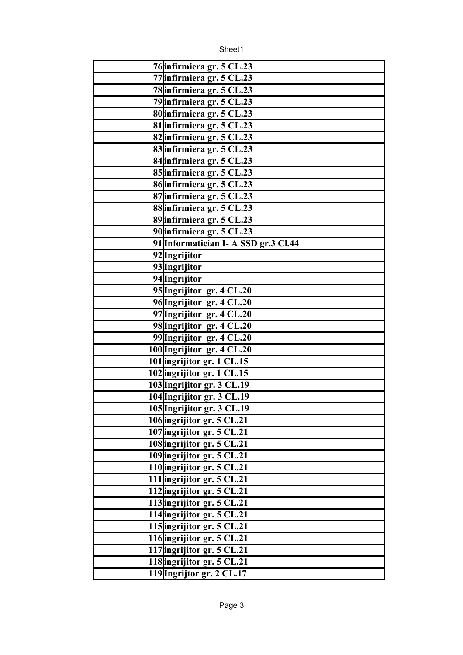Sheet1

| 76 infirmiera gr. 5 CL.23            |
|--------------------------------------|
| 77 infirmiera gr. 5 CL.23            |
| 78 infirmiera gr. 5 CL.23            |
| 79 infirmiera gr. 5 CL.23            |
| 80 infirmiera gr. 5 CL.23            |
| 81 infirmiera gr. 5 CL.23            |
| 82 infirmiera gr. 5 CL.23            |
| 83 infirmiera gr. 5 CL.23            |
| 84 infirmiera gr. 5 CL.23            |
| 85 infirmiera gr. 5 CL.23            |
| 86 infirmiera gr. 5 CL.23            |
| 87 infirmiera gr. 5 CL.23            |
| 88 infirmiera gr. 5 CL.23            |
| 89 infirmiera gr. 5 CL.23            |
| 90 infirmiera gr. 5 CL.23            |
| 91 Informatician I- A SSD gr.3 Cl.44 |
| 92 Ingrijitor                        |
| 93 Ingrijitor                        |
| 94 Ingrijitor                        |
| 95 Ingrijitor gr. 4 CL.20            |
| 96 Ingrijitor gr. 4 CL.20            |
| 97 Ingrijitor gr. 4 CL.20            |
| 98 Ingrijitor gr. 4 CL.20            |
| 99 Ingrijitor gr. 4 CL.20            |
| 100 Ingrijitor gr. 4 CL.20           |
| 101 ingrijitor gr. 1 CL.15           |
| 102 ingrijitor gr. 1 CL.15           |
| 103 Ingrijitor gr. 3 CL.19           |
| 104 Ingrijitor gr. 3 CL.19           |
| 105 Ingrijitor gr. 3 CL.19           |
| 106 ingrijitor gr. 5 CL.21           |
| 107 ingrijitor gr. 5 CL.21           |
| 108 ingrijitor gr. 5 CL.21           |
| 109 ingrijitor gr. 5 CL.21           |
| 110 ingrijitor gr. 5 CL.21           |
| 111 ingrijitor gr. 5 CL.21           |
| 112 ingrijitor gr. 5 CL.21           |
| 113 ingrijitor gr. 5 CL.21           |
| 114 ingrijitor gr. 5 CL.21           |
| 115 ingrijitor gr. 5 CL.21           |
| 116 ingrijitor gr. 5 CL.21           |
| 117 ingrijitor gr. 5 CL.21           |
| 118 ingrijitor gr. 5 CL.21           |
| 119 Ingrijtor gr. 2 CL.17            |
|                                      |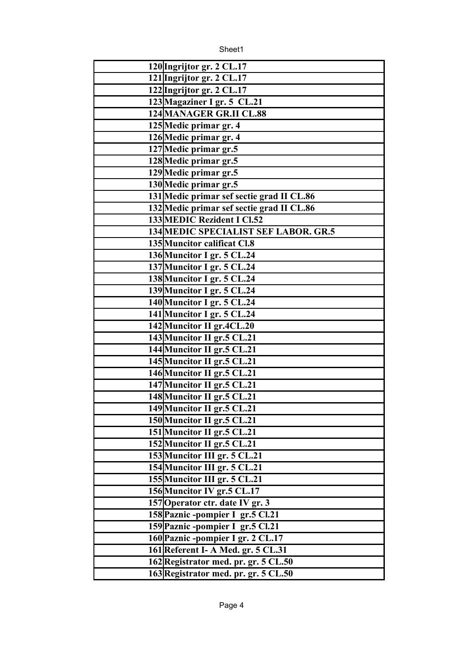Sheet1

| 120 Ingrijtor gr. 2 CL.17<br>121 Ingrijtor gr. 2 CL.17<br>122 Ingrijtor gr. 2 CL.17<br>123 Magaziner I gr. 5 CL.21<br>124 MANAGER GR.II CL.88<br>125 Medic primar gr. 4<br>126 Medic primar gr. 4<br>127 Medic primar gr.5<br>128 Medic primar gr.5<br>129 Medic primar gr.5<br>130 Medic primar gr.5<br>131 Medic primar sef sectie grad II CL.86<br>132 Medic primar sef sectie grad II CL.86<br>133 MEDIC Rezident I Cl.52<br>134 MEDIC SPECIALIST SEF LABOR. GR.5<br>135 Muncitor calificat Cl.8<br>136 Muncitor I gr. 5 CL.24<br>137 Muncitor I gr. 5 CL.24<br>138 Muncitor I gr. 5 CL.24<br>139 Muncitor I gr. 5 CL.24<br>140 Muncitor I gr. 5 CL.24<br>141 Muncitor I gr. 5 CL.24<br>142 Muncitor II gr.4CL.20<br>143 Muncitor II gr.5 CL.21<br>144 Muncitor II gr.5 CL.21<br>145 Muncitor II gr.5 CL.21<br>146 Muncitor II gr.5 CL.21<br>147 Muncitor II gr.5 CL.21<br>148 Muncitor II gr.5 CL.21<br>149 Muncitor II gr.5 CL.21<br>150 Muncitor II gr.5 CL.21<br>151 Muncitor II gr.5 CL.21<br>152 Muncitor II gr.5 CL.21<br>153 Muncitor III gr. 5 CL.21<br>154 Muncitor III gr. 5 CL.21<br>155 Muncitor III gr. 5 CL.21<br>156 Muncitor IV gr.5 CL.17<br>157 Operator ctr. date IV gr. 3<br>158 Paznic - pompier I gr.5 Cl.21<br>159 Paznic -pompier I gr.5 Cl.21<br>160 Paznic - pompier I gr. 2 CL.17<br>161 Referent I- A Med. gr. 5 CL.31<br>162 Registrator med. pr. gr. 5 CL.50<br>163 Registrator med. pr. gr. 5 CL.50 |  |
|-----------------------------------------------------------------------------------------------------------------------------------------------------------------------------------------------------------------------------------------------------------------------------------------------------------------------------------------------------------------------------------------------------------------------------------------------------------------------------------------------------------------------------------------------------------------------------------------------------------------------------------------------------------------------------------------------------------------------------------------------------------------------------------------------------------------------------------------------------------------------------------------------------------------------------------------------------------------------------------------------------------------------------------------------------------------------------------------------------------------------------------------------------------------------------------------------------------------------------------------------------------------------------------------------------------------------------------------------------------------------------------------------------------------------------------------|--|
|                                                                                                                                                                                                                                                                                                                                                                                                                                                                                                                                                                                                                                                                                                                                                                                                                                                                                                                                                                                                                                                                                                                                                                                                                                                                                                                                                                                                                                         |  |
|                                                                                                                                                                                                                                                                                                                                                                                                                                                                                                                                                                                                                                                                                                                                                                                                                                                                                                                                                                                                                                                                                                                                                                                                                                                                                                                                                                                                                                         |  |
|                                                                                                                                                                                                                                                                                                                                                                                                                                                                                                                                                                                                                                                                                                                                                                                                                                                                                                                                                                                                                                                                                                                                                                                                                                                                                                                                                                                                                                         |  |
|                                                                                                                                                                                                                                                                                                                                                                                                                                                                                                                                                                                                                                                                                                                                                                                                                                                                                                                                                                                                                                                                                                                                                                                                                                                                                                                                                                                                                                         |  |
|                                                                                                                                                                                                                                                                                                                                                                                                                                                                                                                                                                                                                                                                                                                                                                                                                                                                                                                                                                                                                                                                                                                                                                                                                                                                                                                                                                                                                                         |  |
|                                                                                                                                                                                                                                                                                                                                                                                                                                                                                                                                                                                                                                                                                                                                                                                                                                                                                                                                                                                                                                                                                                                                                                                                                                                                                                                                                                                                                                         |  |
|                                                                                                                                                                                                                                                                                                                                                                                                                                                                                                                                                                                                                                                                                                                                                                                                                                                                                                                                                                                                                                                                                                                                                                                                                                                                                                                                                                                                                                         |  |
|                                                                                                                                                                                                                                                                                                                                                                                                                                                                                                                                                                                                                                                                                                                                                                                                                                                                                                                                                                                                                                                                                                                                                                                                                                                                                                                                                                                                                                         |  |
|                                                                                                                                                                                                                                                                                                                                                                                                                                                                                                                                                                                                                                                                                                                                                                                                                                                                                                                                                                                                                                                                                                                                                                                                                                                                                                                                                                                                                                         |  |
|                                                                                                                                                                                                                                                                                                                                                                                                                                                                                                                                                                                                                                                                                                                                                                                                                                                                                                                                                                                                                                                                                                                                                                                                                                                                                                                                                                                                                                         |  |
|                                                                                                                                                                                                                                                                                                                                                                                                                                                                                                                                                                                                                                                                                                                                                                                                                                                                                                                                                                                                                                                                                                                                                                                                                                                                                                                                                                                                                                         |  |
|                                                                                                                                                                                                                                                                                                                                                                                                                                                                                                                                                                                                                                                                                                                                                                                                                                                                                                                                                                                                                                                                                                                                                                                                                                                                                                                                                                                                                                         |  |
|                                                                                                                                                                                                                                                                                                                                                                                                                                                                                                                                                                                                                                                                                                                                                                                                                                                                                                                                                                                                                                                                                                                                                                                                                                                                                                                                                                                                                                         |  |
|                                                                                                                                                                                                                                                                                                                                                                                                                                                                                                                                                                                                                                                                                                                                                                                                                                                                                                                                                                                                                                                                                                                                                                                                                                                                                                                                                                                                                                         |  |
|                                                                                                                                                                                                                                                                                                                                                                                                                                                                                                                                                                                                                                                                                                                                                                                                                                                                                                                                                                                                                                                                                                                                                                                                                                                                                                                                                                                                                                         |  |
|                                                                                                                                                                                                                                                                                                                                                                                                                                                                                                                                                                                                                                                                                                                                                                                                                                                                                                                                                                                                                                                                                                                                                                                                                                                                                                                                                                                                                                         |  |
|                                                                                                                                                                                                                                                                                                                                                                                                                                                                                                                                                                                                                                                                                                                                                                                                                                                                                                                                                                                                                                                                                                                                                                                                                                                                                                                                                                                                                                         |  |
|                                                                                                                                                                                                                                                                                                                                                                                                                                                                                                                                                                                                                                                                                                                                                                                                                                                                                                                                                                                                                                                                                                                                                                                                                                                                                                                                                                                                                                         |  |
|                                                                                                                                                                                                                                                                                                                                                                                                                                                                                                                                                                                                                                                                                                                                                                                                                                                                                                                                                                                                                                                                                                                                                                                                                                                                                                                                                                                                                                         |  |
|                                                                                                                                                                                                                                                                                                                                                                                                                                                                                                                                                                                                                                                                                                                                                                                                                                                                                                                                                                                                                                                                                                                                                                                                                                                                                                                                                                                                                                         |  |
|                                                                                                                                                                                                                                                                                                                                                                                                                                                                                                                                                                                                                                                                                                                                                                                                                                                                                                                                                                                                                                                                                                                                                                                                                                                                                                                                                                                                                                         |  |
|                                                                                                                                                                                                                                                                                                                                                                                                                                                                                                                                                                                                                                                                                                                                                                                                                                                                                                                                                                                                                                                                                                                                                                                                                                                                                                                                                                                                                                         |  |
|                                                                                                                                                                                                                                                                                                                                                                                                                                                                                                                                                                                                                                                                                                                                                                                                                                                                                                                                                                                                                                                                                                                                                                                                                                                                                                                                                                                                                                         |  |
|                                                                                                                                                                                                                                                                                                                                                                                                                                                                                                                                                                                                                                                                                                                                                                                                                                                                                                                                                                                                                                                                                                                                                                                                                                                                                                                                                                                                                                         |  |
|                                                                                                                                                                                                                                                                                                                                                                                                                                                                                                                                                                                                                                                                                                                                                                                                                                                                                                                                                                                                                                                                                                                                                                                                                                                                                                                                                                                                                                         |  |
|                                                                                                                                                                                                                                                                                                                                                                                                                                                                                                                                                                                                                                                                                                                                                                                                                                                                                                                                                                                                                                                                                                                                                                                                                                                                                                                                                                                                                                         |  |
|                                                                                                                                                                                                                                                                                                                                                                                                                                                                                                                                                                                                                                                                                                                                                                                                                                                                                                                                                                                                                                                                                                                                                                                                                                                                                                                                                                                                                                         |  |
|                                                                                                                                                                                                                                                                                                                                                                                                                                                                                                                                                                                                                                                                                                                                                                                                                                                                                                                                                                                                                                                                                                                                                                                                                                                                                                                                                                                                                                         |  |
|                                                                                                                                                                                                                                                                                                                                                                                                                                                                                                                                                                                                                                                                                                                                                                                                                                                                                                                                                                                                                                                                                                                                                                                                                                                                                                                                                                                                                                         |  |
|                                                                                                                                                                                                                                                                                                                                                                                                                                                                                                                                                                                                                                                                                                                                                                                                                                                                                                                                                                                                                                                                                                                                                                                                                                                                                                                                                                                                                                         |  |
|                                                                                                                                                                                                                                                                                                                                                                                                                                                                                                                                                                                                                                                                                                                                                                                                                                                                                                                                                                                                                                                                                                                                                                                                                                                                                                                                                                                                                                         |  |
|                                                                                                                                                                                                                                                                                                                                                                                                                                                                                                                                                                                                                                                                                                                                                                                                                                                                                                                                                                                                                                                                                                                                                                                                                                                                                                                                                                                                                                         |  |
|                                                                                                                                                                                                                                                                                                                                                                                                                                                                                                                                                                                                                                                                                                                                                                                                                                                                                                                                                                                                                                                                                                                                                                                                                                                                                                                                                                                                                                         |  |
|                                                                                                                                                                                                                                                                                                                                                                                                                                                                                                                                                                                                                                                                                                                                                                                                                                                                                                                                                                                                                                                                                                                                                                                                                                                                                                                                                                                                                                         |  |
|                                                                                                                                                                                                                                                                                                                                                                                                                                                                                                                                                                                                                                                                                                                                                                                                                                                                                                                                                                                                                                                                                                                                                                                                                                                                                                                                                                                                                                         |  |
|                                                                                                                                                                                                                                                                                                                                                                                                                                                                                                                                                                                                                                                                                                                                                                                                                                                                                                                                                                                                                                                                                                                                                                                                                                                                                                                                                                                                                                         |  |
|                                                                                                                                                                                                                                                                                                                                                                                                                                                                                                                                                                                                                                                                                                                                                                                                                                                                                                                                                                                                                                                                                                                                                                                                                                                                                                                                                                                                                                         |  |
|                                                                                                                                                                                                                                                                                                                                                                                                                                                                                                                                                                                                                                                                                                                                                                                                                                                                                                                                                                                                                                                                                                                                                                                                                                                                                                                                                                                                                                         |  |
|                                                                                                                                                                                                                                                                                                                                                                                                                                                                                                                                                                                                                                                                                                                                                                                                                                                                                                                                                                                                                                                                                                                                                                                                                                                                                                                                                                                                                                         |  |
|                                                                                                                                                                                                                                                                                                                                                                                                                                                                                                                                                                                                                                                                                                                                                                                                                                                                                                                                                                                                                                                                                                                                                                                                                                                                                                                                                                                                                                         |  |
|                                                                                                                                                                                                                                                                                                                                                                                                                                                                                                                                                                                                                                                                                                                                                                                                                                                                                                                                                                                                                                                                                                                                                                                                                                                                                                                                                                                                                                         |  |
|                                                                                                                                                                                                                                                                                                                                                                                                                                                                                                                                                                                                                                                                                                                                                                                                                                                                                                                                                                                                                                                                                                                                                                                                                                                                                                                                                                                                                                         |  |
|                                                                                                                                                                                                                                                                                                                                                                                                                                                                                                                                                                                                                                                                                                                                                                                                                                                                                                                                                                                                                                                                                                                                                                                                                                                                                                                                                                                                                                         |  |
|                                                                                                                                                                                                                                                                                                                                                                                                                                                                                                                                                                                                                                                                                                                                                                                                                                                                                                                                                                                                                                                                                                                                                                                                                                                                                                                                                                                                                                         |  |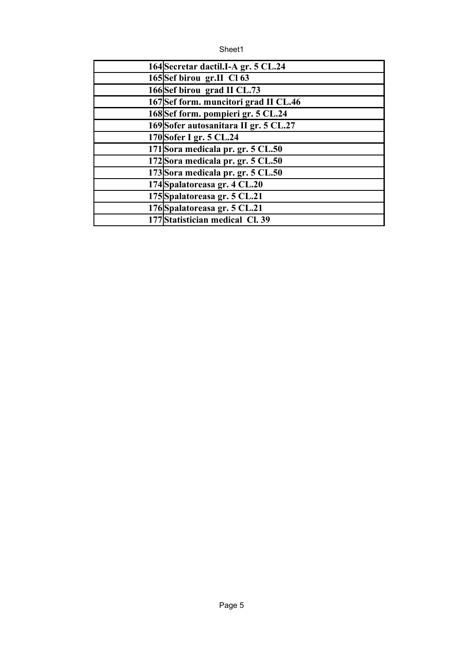| 164 Secretar dactil. I-A gr. 5 CL. 24 |
|---------------------------------------|
| 165Sef birou gr.II Cl 63              |
| 166Sef birou grad II CL.73            |
| 167Sef form. muncitori grad II CL.46  |
| 168Sef form. pompieri gr. 5 CL.24     |
| 169 Sofer autosanitara II gr. 5 CL.27 |
| 170 Sofer I gr. 5 CL.24               |
| 171 Sora medicala pr. gr. 5 CL.50     |
| 172Sora medicala pr. gr. 5 CL.50      |
| 173 Sora medicala pr. gr. 5 CL.50     |
| 174 Spalatoreasa gr. 4 CL.20          |
| 175 Spalatoreasa gr. 5 CL.21          |
| 176 Spalatoreasa gr. 5 CL.21          |
| 177 Statistician medical Cl. 39       |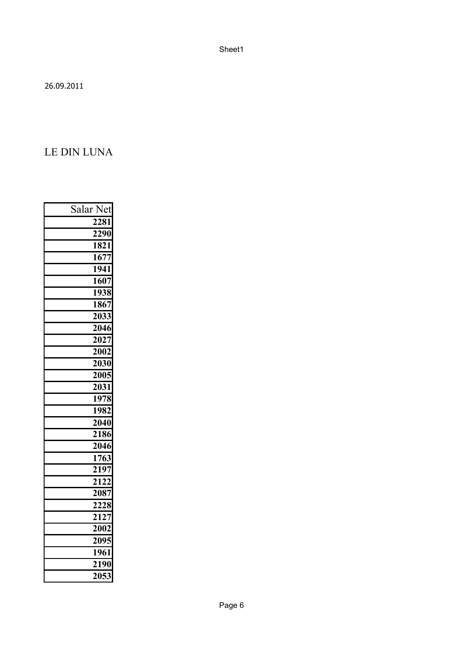26.09.2011

## LE DIN LUNA

| Salar Net         |
|-------------------|
| $\overline{2}281$ |
| 2290              |
| 1821              |
| 1677              |
| 1941              |
| 1607              |
| 1938              |
| 1867              |
| 2033              |
| 2046              |
| 2027              |
| 2002              |
| $\overline{203}0$ |
| 2005              |
| 2031              |
| 1978              |
| 1982              |
| 2040              |
| 2186              |
| 2046              |
| 1763              |
| 2197              |
| 2122              |
| 2087              |
| 2228              |
| $\overline{2127}$ |
| 2002              |
| 2095              |
| 1961              |
| $\overline{2}190$ |
| 2053              |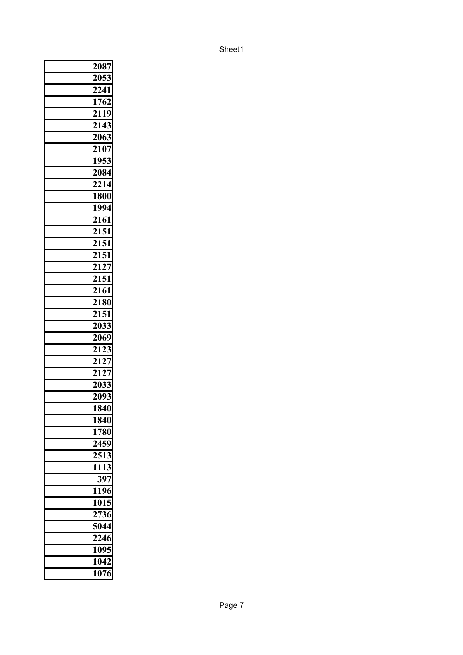| 2087              |
|-------------------|
| 2053              |
| 2241              |
| 1762              |
| $\overline{2119}$ |
| 2143              |
| 2063              |
| 2107              |
| 1953              |
| 2084              |
| 2214              |
| 1800              |
| 1994              |
| 2161              |
| 2151              |
| 2151              |
| 2151              |
| $\frac{1}{21}$ 27 |
| 2151              |
| $\overline{2161}$ |
| 2180              |
| 2151              |
| 2033              |
| 2069              |
| 2123              |
| $\overline{2127}$ |
| 2127              |
| 2033              |
| 2093              |
| 1840              |
| 1840              |
| 1780              |
| 2459              |
| 2513              |
| 1113              |
| 397               |
| 1196              |
| 1015              |
| 2736              |
| 5044              |
| 2246              |
| 1095              |
| 1042              |
| 1076              |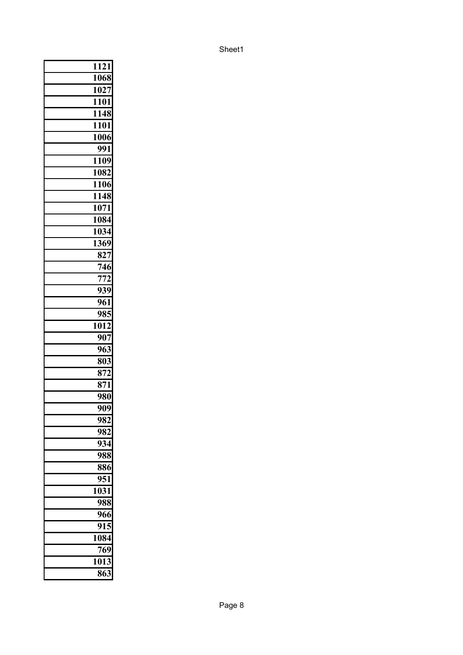| 1121 |     |
|------|-----|
| 1068 |     |
| 1027 |     |
| 1101 |     |
| 1148 |     |
| 1101 |     |
| 1006 |     |
| 991  |     |
| 1109 |     |
| 1082 |     |
| 1106 |     |
| 1148 |     |
| 1071 |     |
| 1084 |     |
| 1034 |     |
| 1369 |     |
| 827  |     |
|      | 746 |
|      | 772 |
|      | 939 |
| 961  |     |
|      | 985 |
| 1012 |     |
| 907  |     |
|      | 963 |
|      | 803 |
|      | 872 |
| 871  |     |
|      | 980 |
|      | 909 |
| 982  |     |
| 982  |     |
| 934  |     |
| 988  |     |
| 886  |     |
| 951  |     |
| 1031 |     |
|      | 988 |
| 966  |     |
| 915  |     |
| 1084 |     |
| 769  |     |
| 1013 |     |
| 863  |     |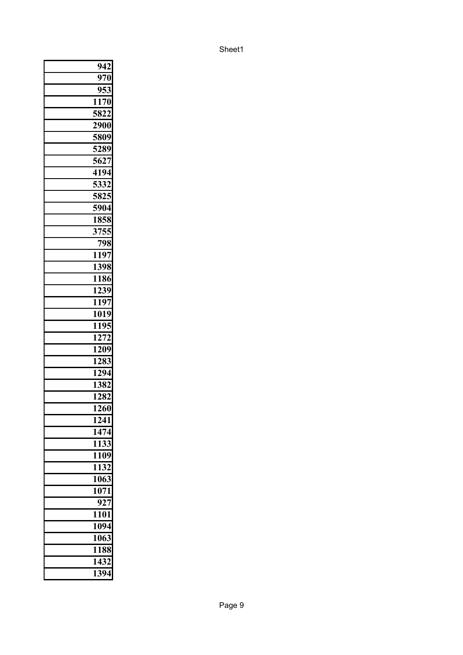|   | 942               |
|---|-------------------|
|   | 970               |
|   | 953               |
|   | 1170              |
|   | 5822              |
|   | 2900              |
|   | 5809              |
|   | 5289              |
|   | 5627              |
|   | 4194              |
|   | 5332              |
|   | 5825              |
|   | 5904              |
|   | 1858              |
|   | 3755              |
|   | 798               |
|   | 1197              |
|   | 1398              |
|   | 1186              |
|   | $\overline{1239}$ |
|   | 1197              |
|   | 1019              |
|   | 1195              |
|   | 1272              |
|   | 1209              |
|   | 1283              |
|   | 1294              |
|   | 1382              |
|   | 1282              |
|   | 1260              |
|   | 1241              |
|   | 1474              |
|   | 1133              |
| I | 1109              |
|   | 1132              |
|   | 1063              |
|   | 1071              |
|   | 927               |
|   | 1101              |
|   | 1094              |
|   | 1063              |
|   | 1188              |
|   | 1432              |
|   | 1394              |